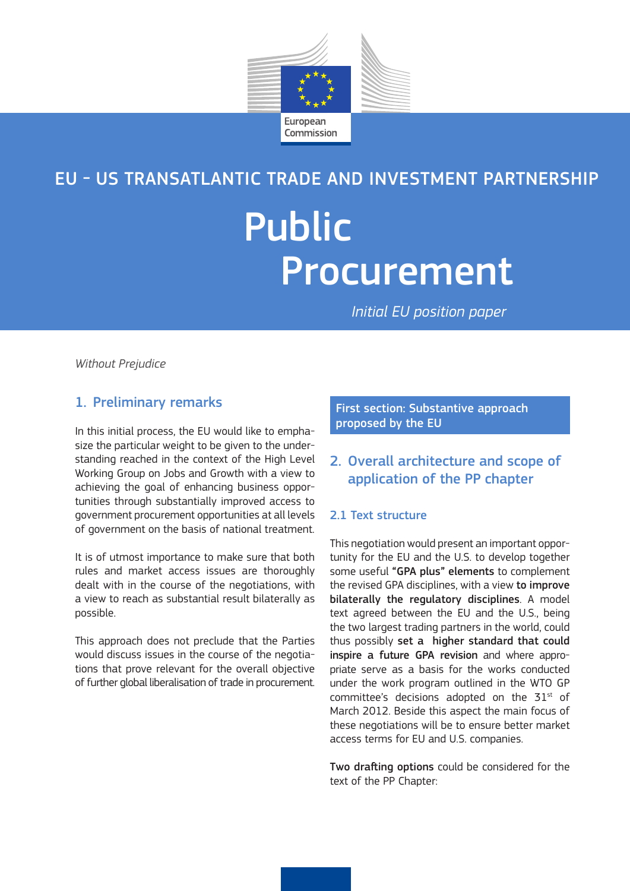

# EU - US TRANSATLANTIC TRADE AND INVESTMENT PARTNERSHIP

# Public Procurement

*Initial EU position paper*

*Without Prejudice*

# 1. Preliminary remarks

In this initial process, the EU would like to emphasize the particular weight to be given to the understanding reached in the context of the High Level Working Group on Jobs and Growth with a view to achieving the goal of enhancing business opportunities through substantially improved access to government procurement opportunities at all levels of government on the basis of national treatment.

It is of utmost importance to make sure that both rules and market access issues are thoroughly dealt with in the course of the negotiations, with a view to reach as substantial result bilaterally as possible.

This approach does not preclude that the Parties would discuss issues in the course of the negotiations that prove relevant for the overall objective of further global liberalisation of trade in procurement. First section: Substantive approach proposed by the EU

# 2. Overall architecture and scope of application of the PP chapter

## 2.1 Text structure

This negotiation would present an important opportunity for the EU and the U.S. to develop together some useful "GPA plus" elements to complement the revised GPA disciplines, with a view to improve bilaterally the regulatory disciplines. A model text agreed between the EU and the U.S., being the two largest trading partners in the world, could thus possibly set a higher standard that could inspire a future GPA revision and where appropriate serve as a basis for the works conducted under the work program outlined in the WTO GP committee's decisions adopted on the  $51<sup>st</sup>$  of March 2012. Beside this aspect the main focus of these negotiations will be to ensure better market access terms for EU and U.S. companies.

Two drafting options could be considered for the text of the PP Chapter: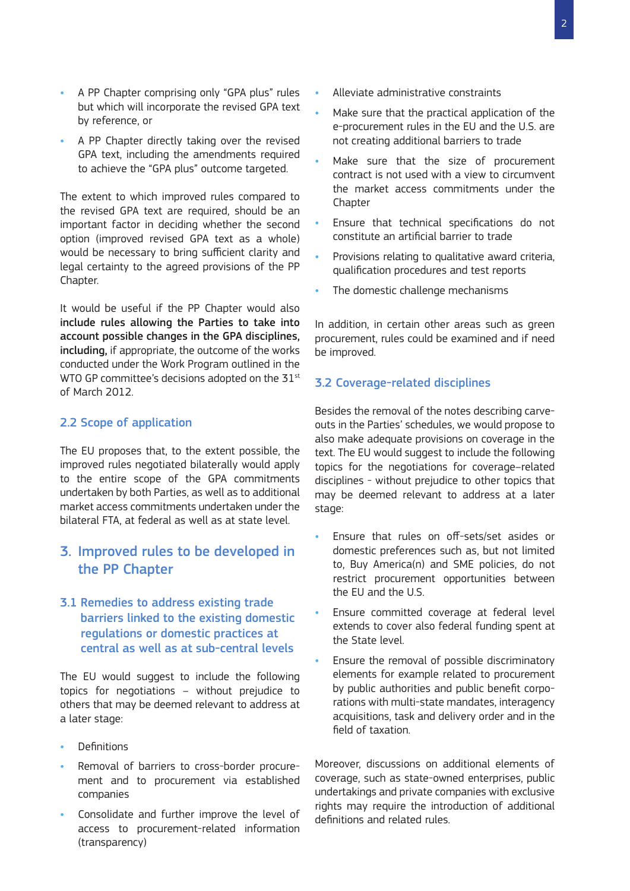- A PP Chapter comprising only "GPA plus" rules but which will incorporate the revised GPA text by reference, or
- A PP Chapter directly taking over the revised GPA text, including the amendments required to achieve the "GPA plus" outcome targeted.

The extent to which improved rules compared to the revised GPA text are required, should be an important factor in deciding whether the second option (improved revised GPA text as a whole) would be necessary to bring sufficient clarity and legal certainty to the agreed provisions of the PP Chapter.

It would be useful if the PP Chapter would also include rules allowing the Parties to take into account possible changes in the GPA disciplines, including, if appropriate, the outcome of the works conducted under the Work Program outlined in the WTO GP committee's decisions adopted on the 31<sup>st</sup> of March 2012.

# 2.2 Scope of application

The EU proposes that, to the extent possible, the improved rules negotiated bilaterally would apply to the entire scope of the GPA commitments undertaken by both Parties, as well as to additional market access commitments undertaken under the bilateral FTA, at federal as well as at state level.

# 3. Improved rules to be developed in the PP Chapter

# 3.1 Remedies to address existing trade barriers linked to the existing domestic regulations or domestic practices at central as well as at sub-central levels

The EU would suggest to include the following topics for negotiations – without prejudice to others that may be deemed relevant to address at a later stage:

- **Definitions**
- Removal of barriers to cross-border procurement and to procurement via established companies
- Consolidate and further improve the level of access to procurement-related information (transparency)
- Alleviate administrative constraints
- Make sure that the practical application of the e-procurement rules in the EU and the U.S. are not creating additional barriers to trade
- Make sure that the size of procurement contract is not used with a view to circumvent the market access commitments under the **Chapter**
- Ensure that technical specifications do not constitute an artificial barrier to trade
- Provisions relating to qualitative award criteria, qualification procedures and test reports
- The domestic challenge mechanisms

In addition, in certain other areas such as green procurement, rules could be examined and if need be improved.

## 3.2 Coverage-related disciplines

Besides the removal of the notes describing carveouts in the Parties' schedules, we would propose to also make adequate provisions on coverage in the text. The EU would suggest to include the following topics for the negotiations for coverage–related disciplines - without prejudice to other topics that may be deemed relevant to address at a later stage:

- Ensure that rules on off-sets/set asides or domestic preferences such as, but not limited to, Buy America(n) and SME policies, do not restrict procurement opportunities between the EU and the U.S.
- Ensure committed coverage at federal level extends to cover also federal funding spent at the State level.
- Ensure the removal of possible discriminatory elements for example related to procurement by public authorities and public benefit corporations with multi-state mandates, interagency acquisitions, task and delivery order and in the field of taxation.

Moreover, discussions on additional elements of coverage, such as state-owned enterprises, public undertakings and private companies with exclusive rights may require the introduction of additional definitions and related rules.